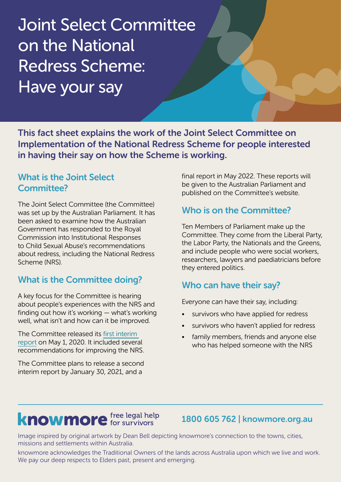# Joint Select Committee on the National Redress Scheme: Have your say

This fact sheet explains the work of the Joint Select Committee on Implementation of the National Redress Scheme for people interested in having their say on how the Scheme is working.

### What is the Joint Select Committee?

The Joint Select Committee (the Committee) was set up by the Australian Parliament. It has been asked to examine how the Australian Government has responded to the Royal Commission into Institutional Responses to Child Sexual Abuse's recommendations about redress, including the National Redress Scheme (NRS).

# What is the Committee doing?

A key focus for the Committee is hearing about people's experiences with the NRS and finding out how it's working — what's working well, what isn't and how can it be improved.

The Committee released its [first interim](https://www.aph.gov.au/Parliamentary_Business/Committees/Joint/National_Redress_Scheme/NationalRedressScheme/Interim_Report)  [report](https://www.aph.gov.au/Parliamentary_Business/Committees/Joint/National_Redress_Scheme/NationalRedressScheme/Interim_Report) on May 1, 2020. It included several recommendations for improving the NRS.

The Committee plans to release a second interim report by January 30, 2021, and a

final report in May 2022. These reports will be given to the Australian Parliament and published on the Committee's website.

## Who is on the Committee?

Ten Members of Parliament make up the Committee. They come from the Liberal Party, the Labor Party, the Nationals and the Greens, and include people who were social workers, researchers, lawyers and paediatricians before they entered politics.

# Who can have their say?

Everyone can have their say, including:

- survivors who have applied for redress
- survivors who haven't applied for redress
- family members, friends and anyone else who has helped someone with the NRS

# **knowmore** free legal help

1800 605 762 | knowmore.org.au

Image inspired by original artwork by Dean Bell depicting knowmore's connection to the towns, cities, missions and settlements within Australia.

knowmore acknowledges the Traditional Owners of the lands across Australia upon which we live and work. We pay our deep respects to Elders past, present and emerging.